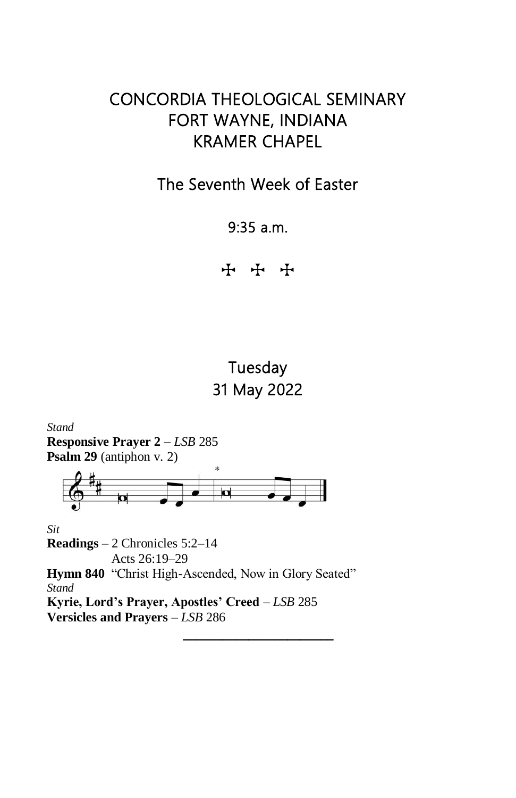# CONCORDIA THEOLOGICAL SEMINARY FORT WAYNE, INDIANA KRAMER CHAPEL

## The Seventh Week of Easter

9:35 a.m.

**T** + +

# Tuesday 31 May 2022

 $\overline{\phantom{a}}$  , where  $\overline{\phantom{a}}$ 

*Stand* **Responsive Prayer 2 –** *LSB* 285 **Psalm 29** (antiphon v. 2) ø *Sit* **Readings** – 2 Chronicles 5:2–14 Acts 26:19–29 **Hymn 840** "Christ High-Ascended, Now in Glory Seated" *Stand* **Kyrie, Lord's Prayer, Apostles' Creed** – *LSB* 285 **Versicles and Prayers** – *LSB* 286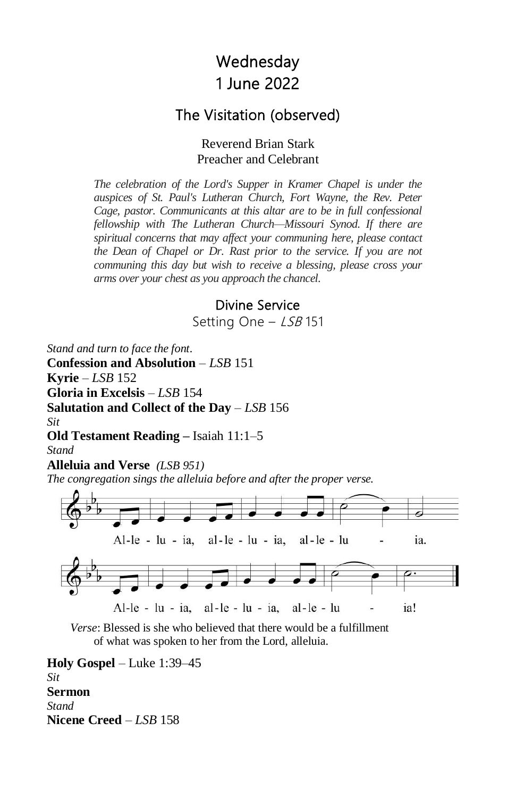# **Wednesday** 1 June 2022

### The Visitation (observed)

#### Reverend Brian Stark Preacher and Celebrant

*The celebration of the Lord's Supper in Kramer Chapel is under the auspices of St. Paul's Lutheran Church, Fort Wayne, the Rev. Peter Cage, pastor. Communicants at this altar are to be in full confessional fellowship with The Lutheran Church—Missouri Synod. If there are spiritual concerns that may affect your communing here, please contact the Dean of Chapel or Dr. Rast prior to the service. If you are not communing this day but wish to receive a blessing, please cross your arms over your chest as you approach the chancel.*

### Divine Service

Setting One - LSB 151

*Stand and turn to face the font.*

**Confession and Absolution** – *LSB* 151 **Kyrie** – *LSB* 152 **Gloria in Excelsis** – *LSB* 154 **Salutation and Collect of the Day** – *LSB* 156 *Sit* **Old Testament Reading –** Isaiah 11:1–5 *Stand* **Alleluia and Verse** *(LSB 951) The congregation sings the alleluia before and after the proper verse.*



*Verse*: Blessed is she who believed that there would be a fulfillment of what was spoken to her from the Lord, alleluia.

**Holy Gospel** – Luke 1:39–45 *Sit* **Sermon** *Stand* **Nicene Creed** – *LSB* 158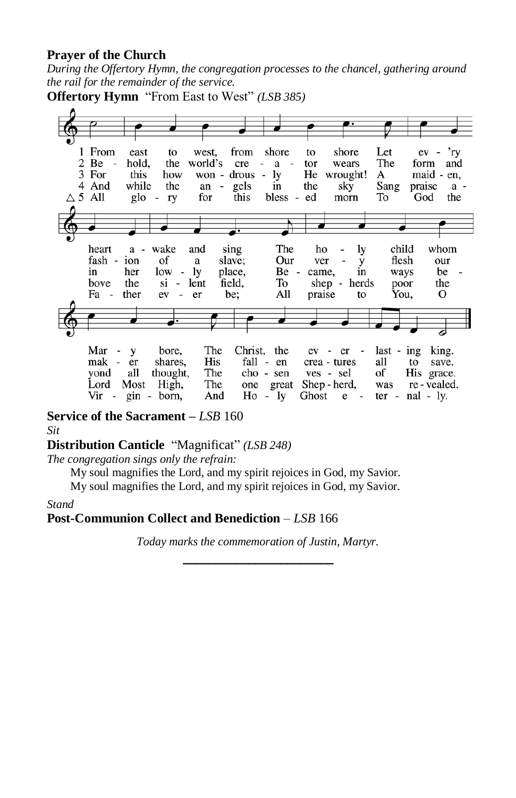### **Prayer of the Church**

*During the Offertory Hymn, the congregation processes to the chancel, gathering around the rail for the remainder of the service.*

**Offertory Hymn** "From East to West" *(LSB 385)*



**Service of the Sacrament –** *LSB* 160 *Sit*

### **Distribution Canticle** "Magnificat" *(LSB 248)*

*The congregation sings only the refrain:*

My soul magnifies the Lord, and my spirit rejoices in God, my Savior.

My soul magnifies the Lord, and my spirit rejoices in God, my Savior.

*Stand*

### **Post-Communion Collect and Benediction** – *LSB* 166

*Today marks the commemoration of Justin, Martyr.*  $\mathcal{L}_\text{max}$  , where  $\mathcal{L}_\text{max}$  and  $\mathcal{L}_\text{max}$